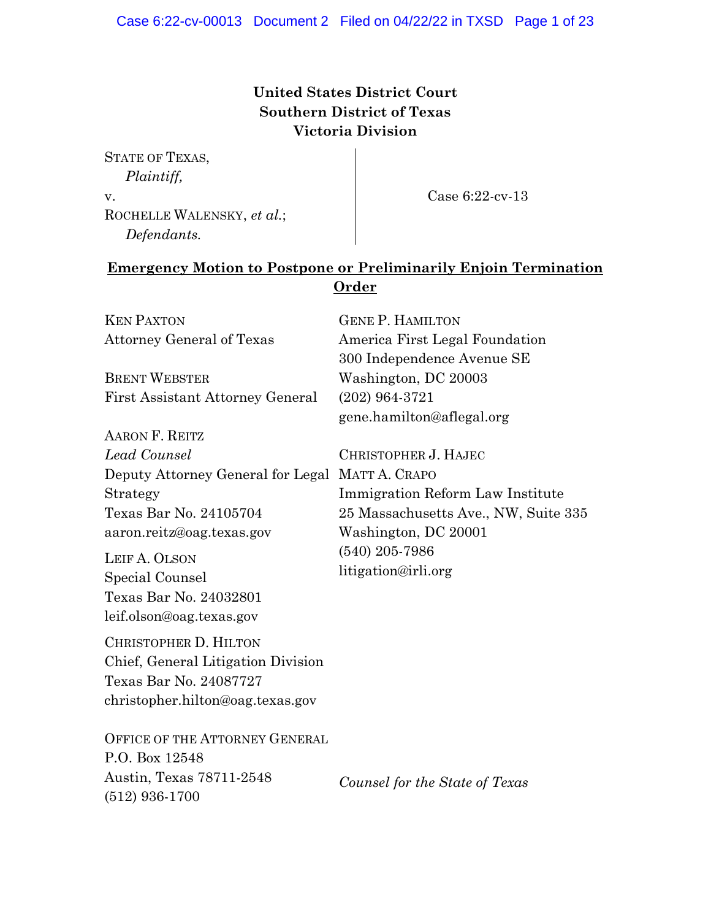# **United States District Court Southern District of Texas Victoria Division**

STATE OF TEXAS, *Plaintiff,* v. ROCHELLE WALENSKY, *et al.*; *Defendants.*

Case 6:22-cv-13

## **Emergency Motion to Postpone or Preliminarily Enjoin Termination Order**

| <b>KEN PAXTON</b>                               | <b>GENE P. HAMILTON</b>              |
|-------------------------------------------------|--------------------------------------|
| <b>Attorney General of Texas</b>                | America First Legal Foundation       |
|                                                 | 300 Independence Avenue SE           |
| <b>BRENT WEBSTER</b>                            | Washington, DC 20003                 |
| <b>First Assistant Attorney General</b>         | $(202)$ 964-3721                     |
|                                                 | gene.hamilton@aflegal.org            |
| <b>AARON F. REITZ</b>                           |                                      |
| Lead Counsel                                    | CHRISTOPHER J. HAJEC                 |
| Deputy Attorney General for Legal MATT A. CRAPO |                                      |
| Strategy                                        | Immigration Reform Law Institute     |
| Texas Bar No. 24105704                          | 25 Massachusetts Ave., NW, Suite 335 |
| aaron.reitz@oag.texas.gov                       | Washington, DC 20001                 |
| LEIF A. OLSON                                   | $(540)$ 205-7986                     |
| Special Counsel                                 | litigation@irli.org                  |
| Texas Bar No. 24032801                          |                                      |
| leif.olson@oag.texas.gov                        |                                      |
| CHRISTOPHER D. HILTON                           |                                      |
| Chief, General Litigation Division              |                                      |
| Texas Bar No. 24087727                          |                                      |
| christopher.hilton@oag.texas.gov                |                                      |
|                                                 |                                      |
| <b>OFFICE OF THE ATTORNEY GENERAL</b>           |                                      |
| P.O. Box 12548                                  |                                      |
| Austin, Texas 78711-2548                        | Counsel for the State of Texas       |
| (512) 936-1700                                  |                                      |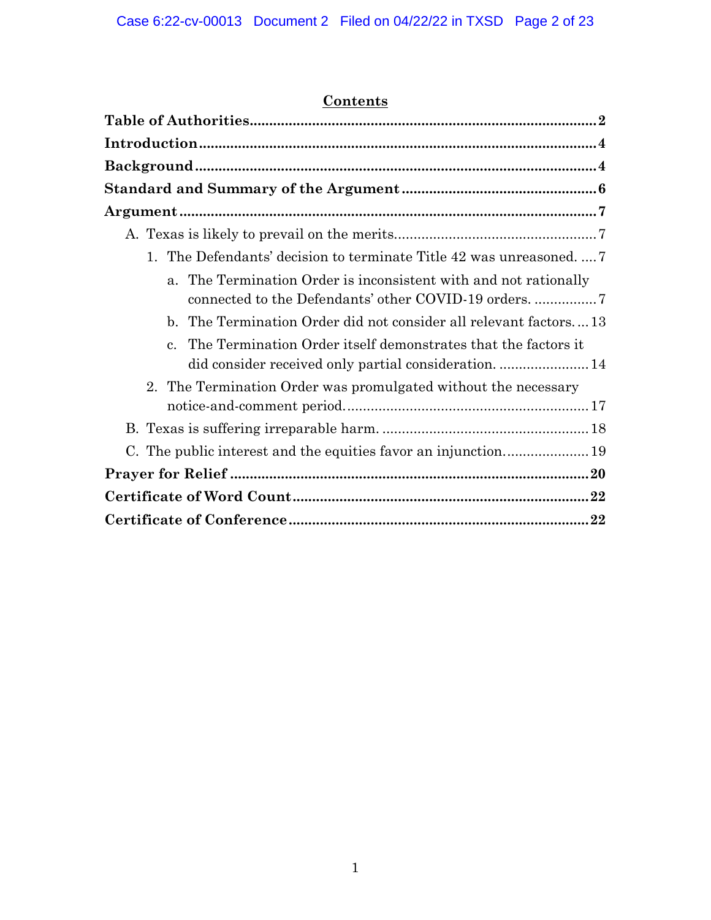# **Contents**

| 1. The Defendants' decision to terminate Title 42 was unreasoned                |
|---------------------------------------------------------------------------------|
| a. The Termination Order is inconsistent with and not rationally                |
| The Termination Order did not consider all relevant factors13<br>$\mathbf{b}$ . |
| The Termination Order itself demonstrates that the factors it<br>$\mathbf{c}$ . |
| 2. The Termination Order was promulgated without the necessary                  |
|                                                                                 |
|                                                                                 |
|                                                                                 |
|                                                                                 |
|                                                                                 |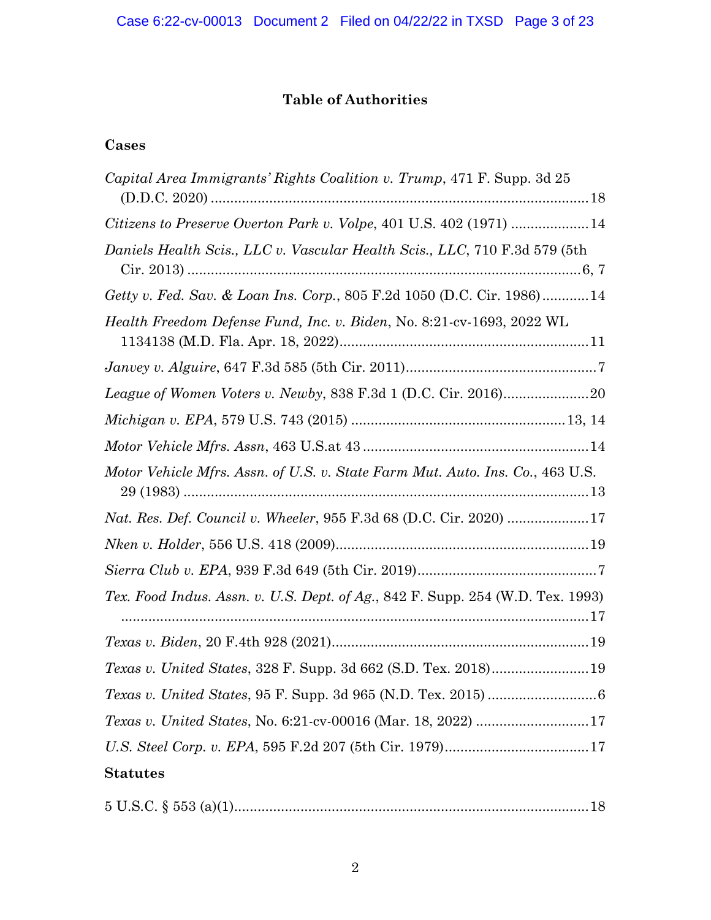# **Table of Authorities**

# <span id="page-2-0"></span>**Cases**

| <i>Capital Area Immigrants' Rights Coalition v. Trump, 471 F. Supp. 3d 25</i>  |
|--------------------------------------------------------------------------------|
|                                                                                |
| Daniels Health Scis., LLC v. Vascular Health Scis., LLC, 710 F.3d 579 (5th     |
| Getty v. Fed. Sav. & Loan Ins. Corp., 805 F.2d 1050 (D.C. Cir. 1986)14         |
| Health Freedom Defense Fund, Inc. v. Biden, No. 8:21-cv-1693, 2022 WL          |
|                                                                                |
|                                                                                |
|                                                                                |
|                                                                                |
| Motor Vehicle Mfrs. Assn. of U.S. v. State Farm Mut. Auto. Ins. Co., 463 U.S.  |
| <i>Nat. Res. Def. Council v. Wheeler, 955 F.3d 68 (D.C. Cir. 2020) </i> 17     |
|                                                                                |
|                                                                                |
| Tex. Food Indus. Assn. v. U.S. Dept. of Ag., 842 F. Supp. 254 (W.D. Tex. 1993) |
|                                                                                |
| Texas v. United States, 328 F. Supp. 3d 662 (S.D. Tex. 2018) 19                |
|                                                                                |
|                                                                                |
|                                                                                |
| <b>Statutes</b>                                                                |

|--|--|--|--|--|--|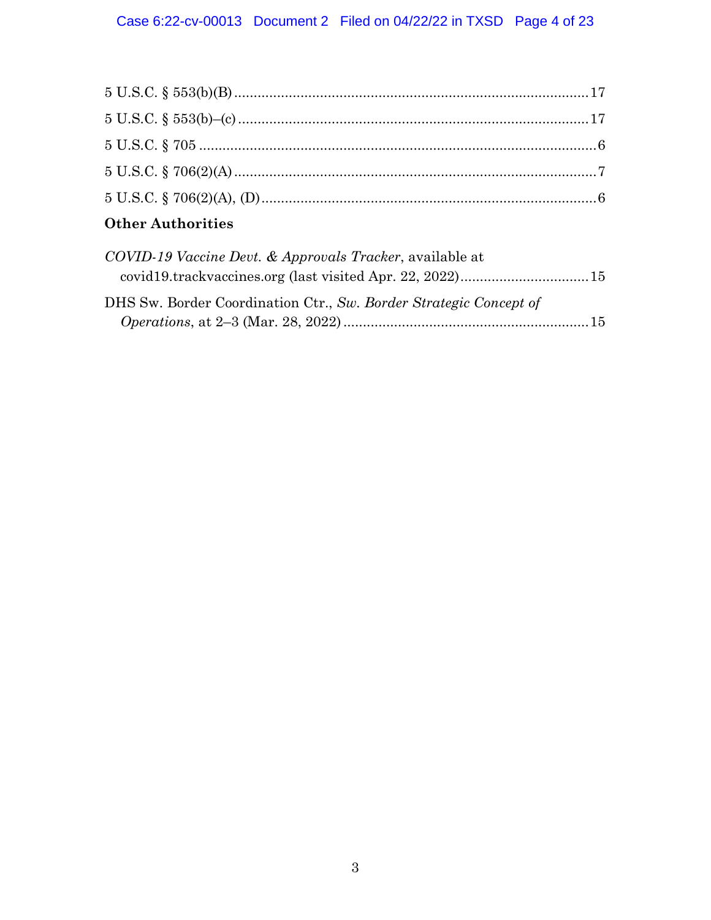| $\Omega$ $\mathbf{1}$ $\mathbf{1}$ $\mathbf{1}$ $\mathbf{1}$ $\mathbf{1}$ $\mathbf{1}$ $\mathbf{1}$ $\mathbf{1}$ $\mathbf{1}$ $\mathbf{1}$ $\mathbf{1}$ $\mathbf{1}$ $\mathbf{1}$ $\mathbf{1}$ $\mathbf{1}$ $\mathbf{1}$ $\mathbf{1}$ $\mathbf{1}$ $\mathbf{1}$ $\mathbf{1}$ $\mathbf{1}$ $\mathbf{1}$ $\mathbf{1}$ $\mathbf{1}$ |  |
|----------------------------------------------------------------------------------------------------------------------------------------------------------------------------------------------------------------------------------------------------------------------------------------------------------------------------------|--|

## **Other Authorities**

| COVID-19 Vaccine Devt. & Approvals Tracker, available at          |  |
|-------------------------------------------------------------------|--|
|                                                                   |  |
| DHS Sw. Border Coordination Ctr., Sw. Border Strategic Concept of |  |
|                                                                   |  |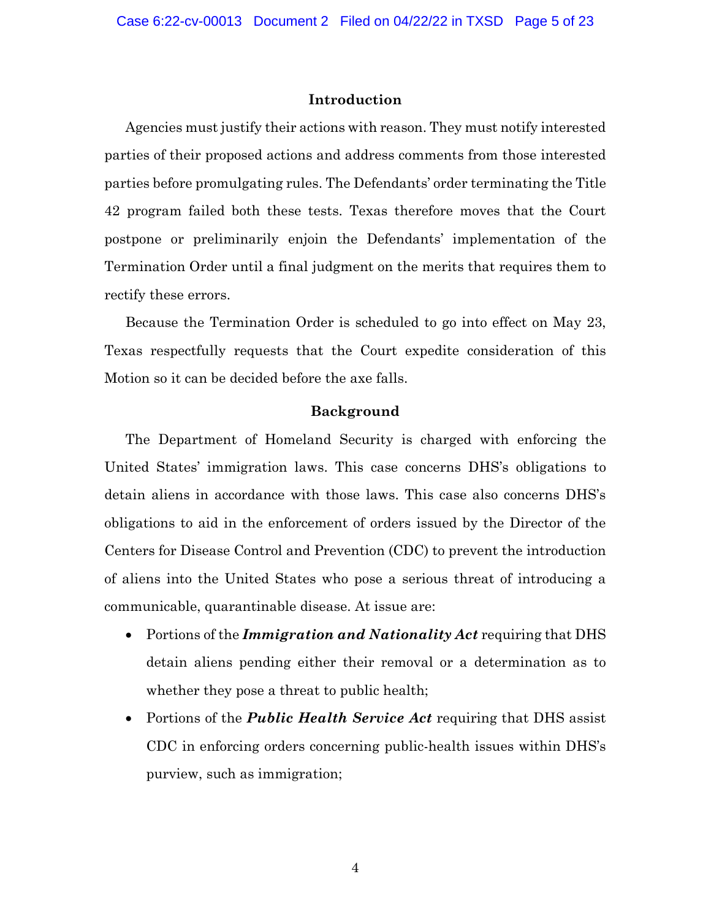#### **Introduction**

<span id="page-4-0"></span>Agencies must justify their actions with reason. They must notify interested parties of their proposed actions and address comments from those interested parties before promulgating rules. The Defendants' order terminating the Title 42 program failed both these tests. Texas therefore moves that the Court postpone or preliminarily enjoin the Defendants' implementation of the Termination Order until a final judgment on the merits that requires them to rectify these errors.

Because the Termination Order is scheduled to go into effect on May 23, Texas respectfully requests that the Court expedite consideration of this Motion so it can be decided before the axe falls.

#### **Background**

<span id="page-4-1"></span>The Department of Homeland Security is charged with enforcing the United States' immigration laws. This case concerns DHS's obligations to detain aliens in accordance with those laws. This case also concerns DHS's obligations to aid in the enforcement of orders issued by the Director of the Centers for Disease Control and Prevention (CDC) to prevent the introduction of aliens into the United States who pose a serious threat of introducing a communicable, quarantinable disease. At issue are:

- Portions of the *Immigration and Nationality Act* requiring that DHS detain aliens pending either their removal or a determination as to whether they pose a threat to public health;
- Portions of the *Public Health Service Act* requiring that DHS assist CDC in enforcing orders concerning public-health issues within DHS's purview, such as immigration;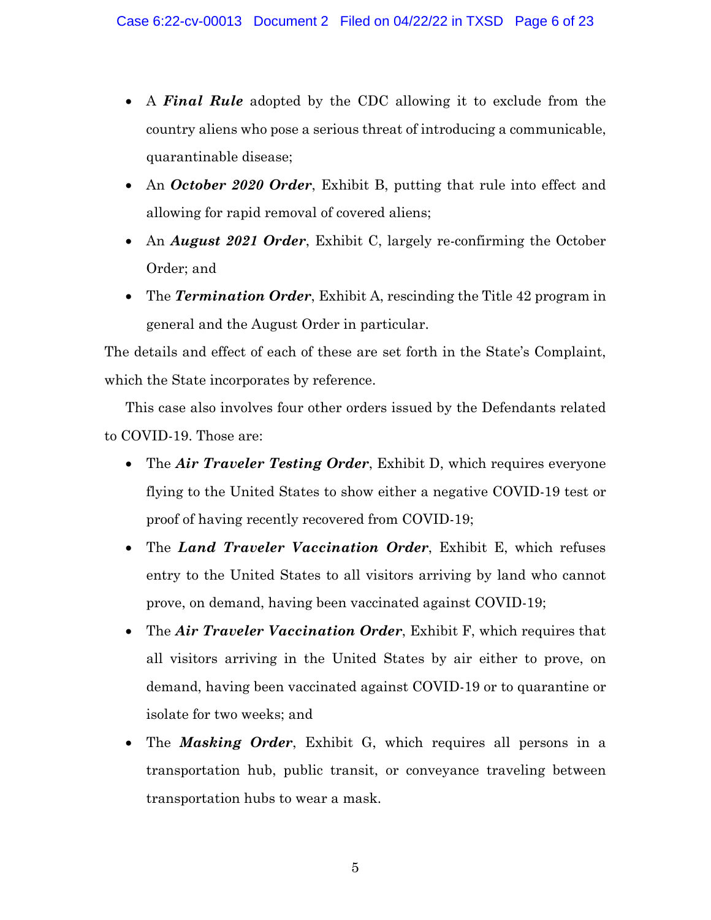- A *Final Rule* adopted by the CDC allowing it to exclude from the country aliens who pose a serious threat of introducing a communicable, quarantinable disease;
- An *October 2020 Order*, Exhibit B, putting that rule into effect and allowing for rapid removal of covered aliens;
- An *August 2021 Order*, Exhibit C, largely re-confirming the October Order; and
- The *Termination Order*, Exhibit A, rescinding the Title 42 program in general and the August Order in particular.

The details and effect of each of these are set forth in the State's Complaint, which the State incorporates by reference.

This case also involves four other orders issued by the Defendants related to COVID-19. Those are:

- The *Air Traveler Testing Order*, Exhibit D, which requires everyone flying to the United States to show either a negative COVID-19 test or proof of having recently recovered from COVID-19;
- The *Land Traveler Vaccination Order*, Exhibit E, which refuses entry to the United States to all visitors arriving by land who cannot prove, on demand, having been vaccinated against COVID-19;
- The *Air Traveler Vaccination Order*, Exhibit F, which requires that all visitors arriving in the United States by air either to prove, on demand, having been vaccinated against COVID-19 or to quarantine or isolate for two weeks; and
- The *Masking Order*, Exhibit G, which requires all persons in a transportation hub, public transit, or conveyance traveling between transportation hubs to wear a mask.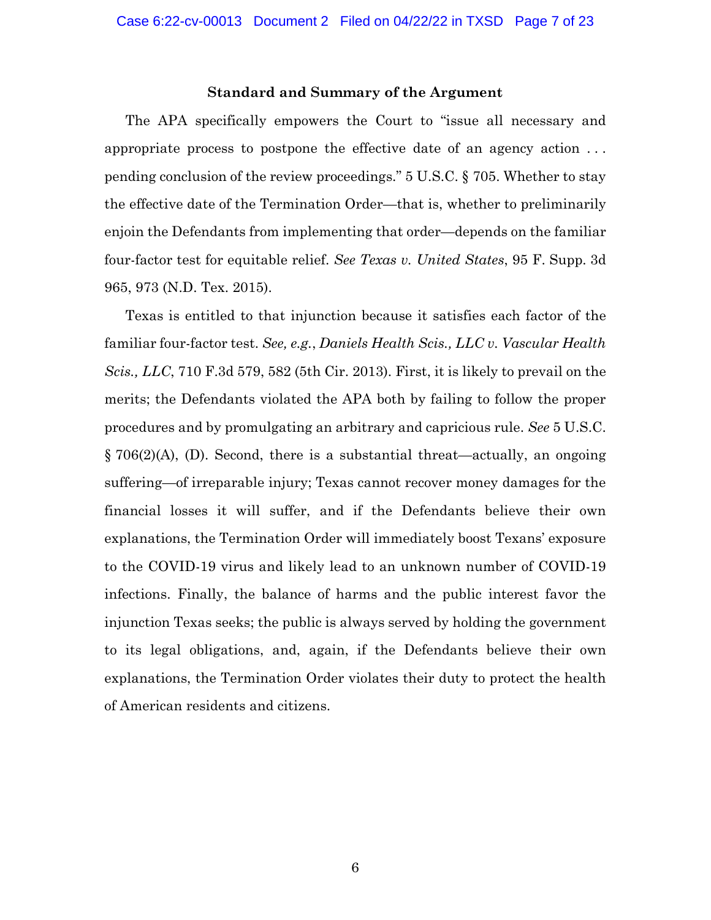#### **Standard and Summary of the Argument**

<span id="page-6-0"></span>The APA specifically empowers the Court to "issue all necessary and appropriate process to postpone the effective date of an agency action . . . pending conclusion of the review proceedings." 5 U.S.C. § 705. Whether to stay the effective date of the Termination Order—that is, whether to preliminarily enjoin the Defendants from implementing that order—depends on the familiar four-factor test for equitable relief. *See Texas v. United States*, 95 F. Supp. 3d 965, 973 (N.D. Tex. 2015).

Texas is entitled to that injunction because it satisfies each factor of the familiar four-factor test. *See, e.g.*, *Daniels Health Scis., LLC v. Vascular Health Scis., LLC*, 710 F.3d 579, 582 (5th Cir. 2013). First, it is likely to prevail on the merits; the Defendants violated the APA both by failing to follow the proper procedures and by promulgating an arbitrary and capricious rule. *See* 5 U.S.C. § 706(2)(A), (D). Second, there is a substantial threat—actually, an ongoing suffering—of irreparable injury; Texas cannot recover money damages for the financial losses it will suffer, and if the Defendants believe their own explanations, the Termination Order will immediately boost Texans' exposure to the COVID-19 virus and likely lead to an unknown number of COVID-19 infections. Finally, the balance of harms and the public interest favor the injunction Texas seeks; the public is always served by holding the government to its legal obligations, and, again, if the Defendants believe their own explanations, the Termination Order violates their duty to protect the health of American residents and citizens.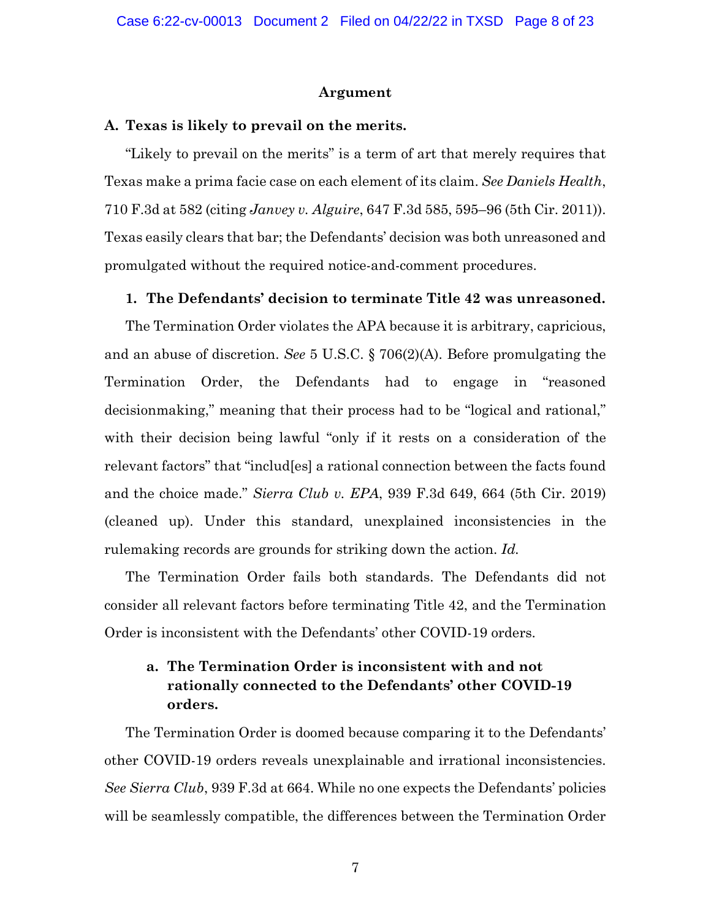#### **Argument**

#### <span id="page-7-1"></span><span id="page-7-0"></span>**A. Texas is likely to prevail on the merits.**

"Likely to prevail on the merits" is a term of art that merely requires that Texas make a prima facie case on each element of its claim. *See Daniels Health*, 710 F.3d at 582 (citing *Janvey v. Alguire*, 647 F.3d 585, 595–96 (5th Cir. 2011)). Texas easily clears that bar; the Defendants' decision was both unreasoned and promulgated without the required notice-and-comment procedures.

#### <span id="page-7-2"></span>**1. The Defendants' decision to terminate Title 42 was unreasoned.**

The Termination Order violates the APA because it is arbitrary, capricious, and an abuse of discretion. *See* 5 U.S.C. § 706(2)(A). Before promulgating the Termination Order, the Defendants had to engage in "reasoned decisionmaking," meaning that their process had to be "logical and rational," with their decision being lawful "only if it rests on a consideration of the relevant factors" that "includ[es] a rational connection between the facts found and the choice made." *Sierra Club v. EPA*, 939 F.3d 649, 664 (5th Cir. 2019) (cleaned up). Under this standard, unexplained inconsistencies in the rulemaking records are grounds for striking down the action. *Id.*

The Termination Order fails both standards. The Defendants did not consider all relevant factors before terminating Title 42, and the Termination Order is inconsistent with the Defendants' other COVID-19 orders.

## <span id="page-7-3"></span>**a. The Termination Order is inconsistent with and not rationally connected to the Defendants' other COVID-19 orders.**

The Termination Order is doomed because comparing it to the Defendants' other COVID-19 orders reveals unexplainable and irrational inconsistencies. *See Sierra Club*, 939 F.3d at 664. While no one expects the Defendants' policies will be seamlessly compatible, the differences between the Termination Order

7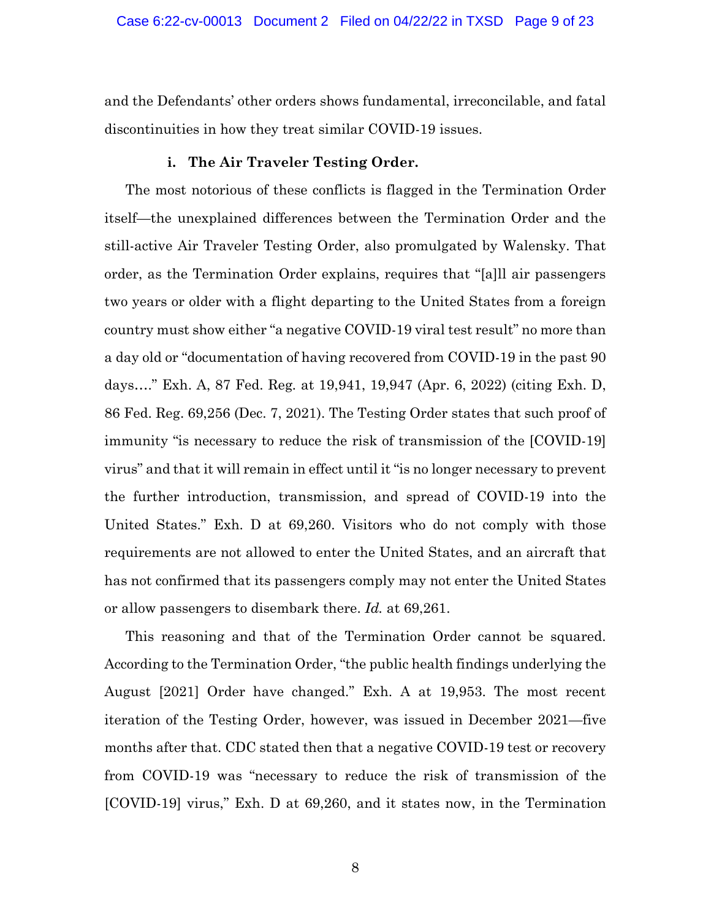and the Defendants' other orders shows fundamental, irreconcilable, and fatal discontinuities in how they treat similar COVID-19 issues.

#### **i. The Air Traveler Testing Order.**

The most notorious of these conflicts is flagged in the Termination Order itself—the unexplained differences between the Termination Order and the still-active Air Traveler Testing Order, also promulgated by Walensky. That order, as the Termination Order explains, requires that "[a]ll air passengers two years or older with a flight departing to the United States from a foreign country must show either "a negative COVID-19 viral test result" no more than a day old or "documentation of having recovered from COVID-19 in the past 90 days…." Exh. A, 87 Fed. Reg*.* at 19,941, 19,947 (Apr. 6, 2022) (citing Exh. D, 86 Fed. Reg. 69,256 (Dec. 7, 2021). The Testing Order states that such proof of immunity "is necessary to reduce the risk of transmission of the [COVID-19] virus" and that it will remain in effect until it "is no longer necessary to prevent the further introduction, transmission, and spread of COVID-19 into the United States." Exh. D at 69,260. Visitors who do not comply with those requirements are not allowed to enter the United States, and an aircraft that has not confirmed that its passengers comply may not enter the United States or allow passengers to disembark there. *Id.* at 69,261.

This reasoning and that of the Termination Order cannot be squared. According to the Termination Order, "the public health findings underlying the August [2021] Order have changed." Exh. A at 19,953. The most recent iteration of the Testing Order, however, was issued in December 2021—five months after that. CDC stated then that a negative COVID-19 test or recovery from COVID-19 was "necessary to reduce the risk of transmission of the [COVID-19] virus," Exh. D at 69,260, and it states now, in the Termination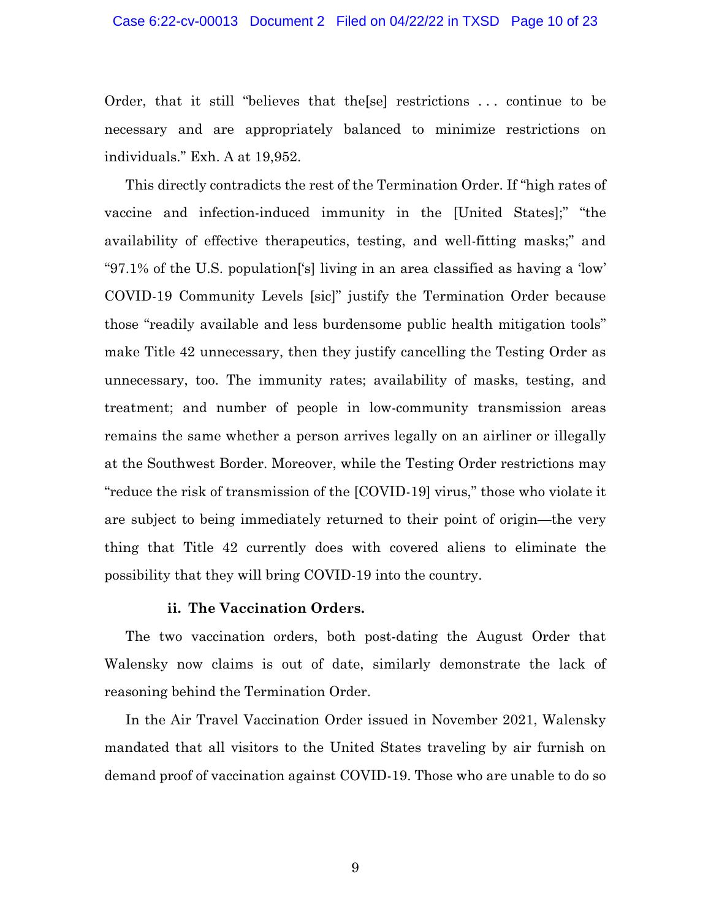#### Case 6:22-cv-00013 Document 2 Filed on 04/22/22 in TXSD Page 10 of 23

Order, that it still "believes that the[se] restrictions . . . continue to be necessary and are appropriately balanced to minimize restrictions on individuals." Exh. A at 19,952.

This directly contradicts the rest of the Termination Order. If "high rates of vaccine and infection-induced immunity in the [United States];" "the availability of effective therapeutics, testing, and well-fitting masks;" and "97.1% of the U.S. population['s] living in an area classified as having a 'low' COVID-19 Community Levels [sic]" justify the Termination Order because those "readily available and less burdensome public health mitigation tools" make Title 42 unnecessary, then they justify cancelling the Testing Order as unnecessary, too. The immunity rates; availability of masks, testing, and treatment; and number of people in low-community transmission areas remains the same whether a person arrives legally on an airliner or illegally at the Southwest Border. Moreover, while the Testing Order restrictions may "reduce the risk of transmission of the [COVID-19] virus," those who violate it are subject to being immediately returned to their point of origin—the very thing that Title 42 currently does with covered aliens to eliminate the possibility that they will bring COVID-19 into the country.

#### **ii. The Vaccination Orders.**

The two vaccination orders, both post-dating the August Order that Walensky now claims is out of date, similarly demonstrate the lack of reasoning behind the Termination Order.

In the Air Travel Vaccination Order issued in November 2021, Walensky mandated that all visitors to the United States traveling by air furnish on demand proof of vaccination against COVID-19. Those who are unable to do so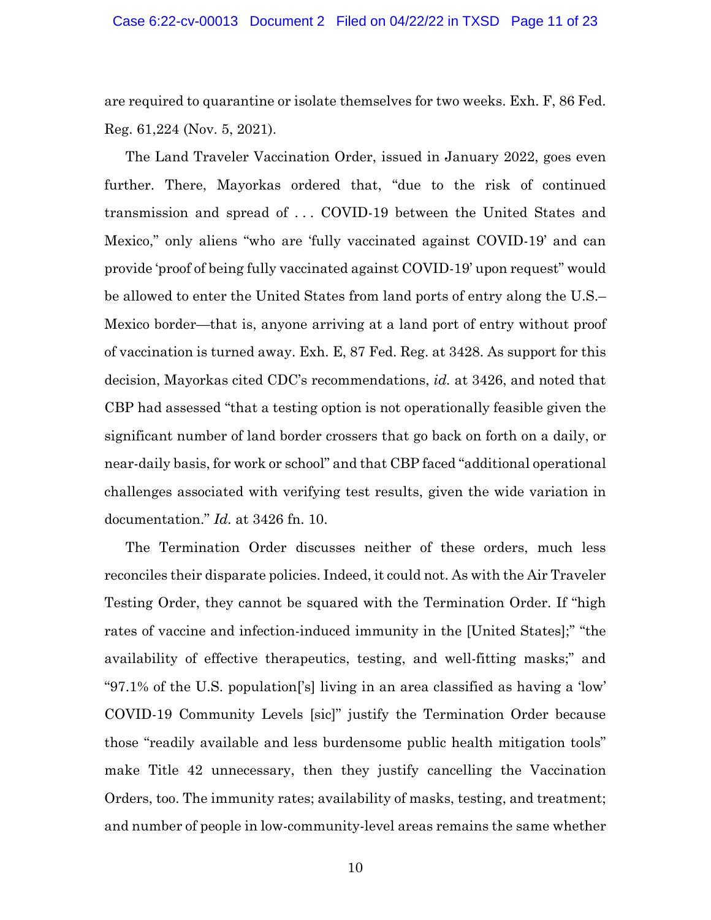are required to quarantine or isolate themselves for two weeks. Exh. F, 86 Fed. Reg. 61,224 (Nov. 5, 2021).

The Land Traveler Vaccination Order, issued in January 2022, goes even further. There, Mayorkas ordered that, "due to the risk of continued transmission and spread of . . . COVID-19 between the United States and Mexico," only aliens "who are 'fully vaccinated against COVID-19' and can provide 'proof of being fully vaccinated against COVID-19' upon request" would be allowed to enter the United States from land ports of entry along the U.S.– Mexico border—that is, anyone arriving at a land port of entry without proof of vaccination is turned away. Exh. E, 87 Fed. Reg. at 3428. As support for this decision, Mayorkas cited CDC's recommendations, *id.* at 3426, and noted that CBP had assessed "that a testing option is not operationally feasible given the significant number of land border crossers that go back on forth on a daily, or near-daily basis, for work or school" and that CBP faced "additional operational challenges associated with verifying test results, given the wide variation in documentation." *Id.* at 3426 fn. 10.

The Termination Order discusses neither of these orders, much less reconciles their disparate policies. Indeed, it could not. As with the Air Traveler Testing Order, they cannot be squared with the Termination Order. If "high rates of vaccine and infection-induced immunity in the [United States];" "the availability of effective therapeutics, testing, and well-fitting masks;" and "97.1% of the U.S. population['s] living in an area classified as having a 'low' COVID-19 Community Levels [sic]" justify the Termination Order because those "readily available and less burdensome public health mitigation tools" make Title 42 unnecessary, then they justify cancelling the Vaccination Orders, too. The immunity rates; availability of masks, testing, and treatment; and number of people in low-community-level areas remains the same whether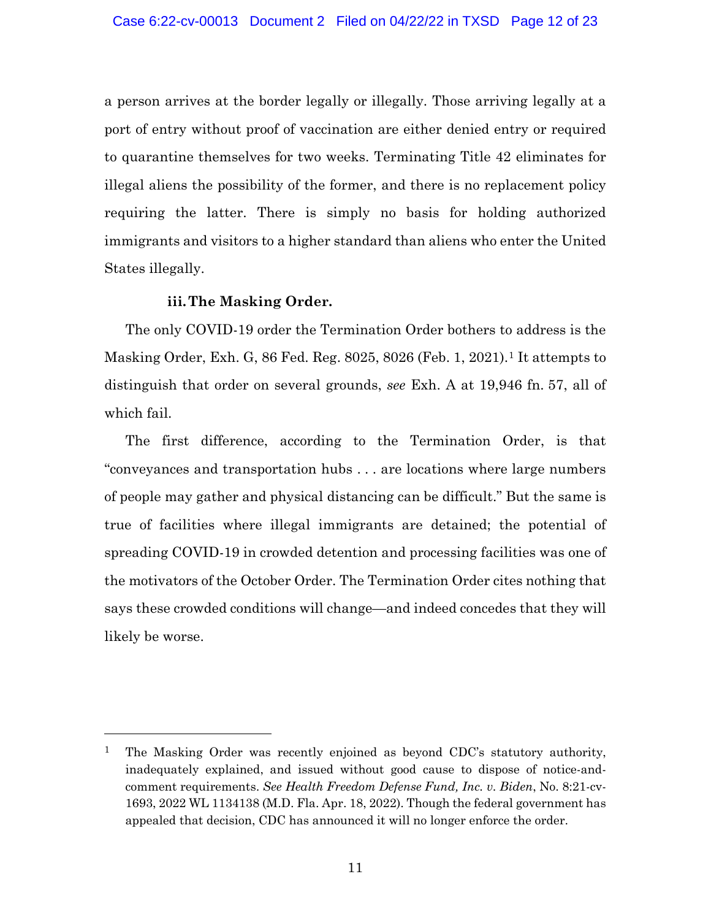a person arrives at the border legally or illegally. Those arriving legally at a port of entry without proof of vaccination are either denied entry or required to quarantine themselves for two weeks. Terminating Title 42 eliminates for illegal aliens the possibility of the former, and there is no replacement policy requiring the latter. There is simply no basis for holding authorized immigrants and visitors to a higher standard than aliens who enter the United States illegally.

### **iii.The Masking Order.**

The only COVID-19 order the Termination Order bothers to address is the Masking Order, Exh. G, 86 Fed. Reg. 8025, 8026 (Feb. 1, 2021).[1](#page-11-0) It attempts to distinguish that order on several grounds, *see* Exh. A at 19,946 fn. 57, all of which fail.

The first difference, according to the Termination Order, is that "conveyances and transportation hubs . . . are locations where large numbers of people may gather and physical distancing can be difficult." But the same is true of facilities where illegal immigrants are detained; the potential of spreading COVID-19 in crowded detention and processing facilities was one of the motivators of the October Order. The Termination Order cites nothing that says these crowded conditions will change—and indeed concedes that they will likely be worse.

<span id="page-11-0"></span><sup>&</sup>lt;sup>1</sup> The Masking Order was recently enjoined as beyond CDC's statutory authority, inadequately explained, and issued without good cause to dispose of notice-andcomment requirements. *See Health Freedom Defense Fund, Inc. v. Biden*, No. 8:21-cv-1693, 2022 WL 1134138 (M.D. Fla. Apr. 18, 2022). Though the federal government has appealed that decision, CDC has announced it will no longer enforce the order.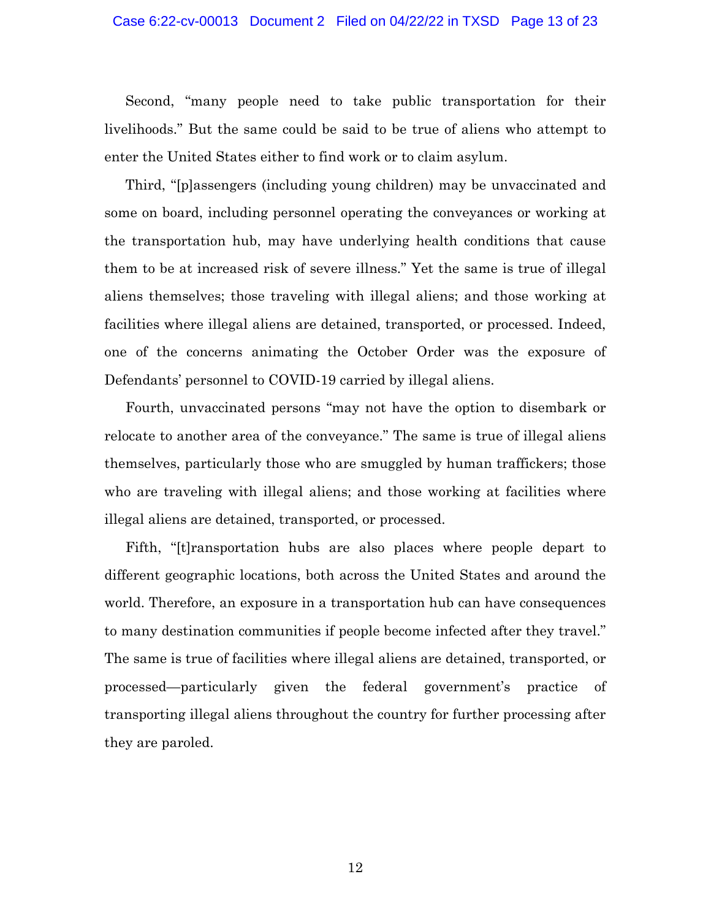Second, "many people need to take public transportation for their livelihoods." But the same could be said to be true of aliens who attempt to enter the United States either to find work or to claim asylum.

Third, "[p]assengers (including young children) may be unvaccinated and some on board, including personnel operating the conveyances or working at the transportation hub, may have underlying health conditions that cause them to be at increased risk of severe illness." Yet the same is true of illegal aliens themselves; those traveling with illegal aliens; and those working at facilities where illegal aliens are detained, transported, or processed. Indeed, one of the concerns animating the October Order was the exposure of Defendants' personnel to COVID-19 carried by illegal aliens.

Fourth, unvaccinated persons "may not have the option to disembark or relocate to another area of the conveyance." The same is true of illegal aliens themselves, particularly those who are smuggled by human traffickers; those who are traveling with illegal aliens; and those working at facilities where illegal aliens are detained, transported, or processed.

Fifth, "[t]ransportation hubs are also places where people depart to different geographic locations, both across the United States and around the world. Therefore, an exposure in a transportation hub can have consequences to many destination communities if people become infected after they travel." The same is true of facilities where illegal aliens are detained, transported, or processed—particularly given the federal government's practice of transporting illegal aliens throughout the country for further processing after they are paroled.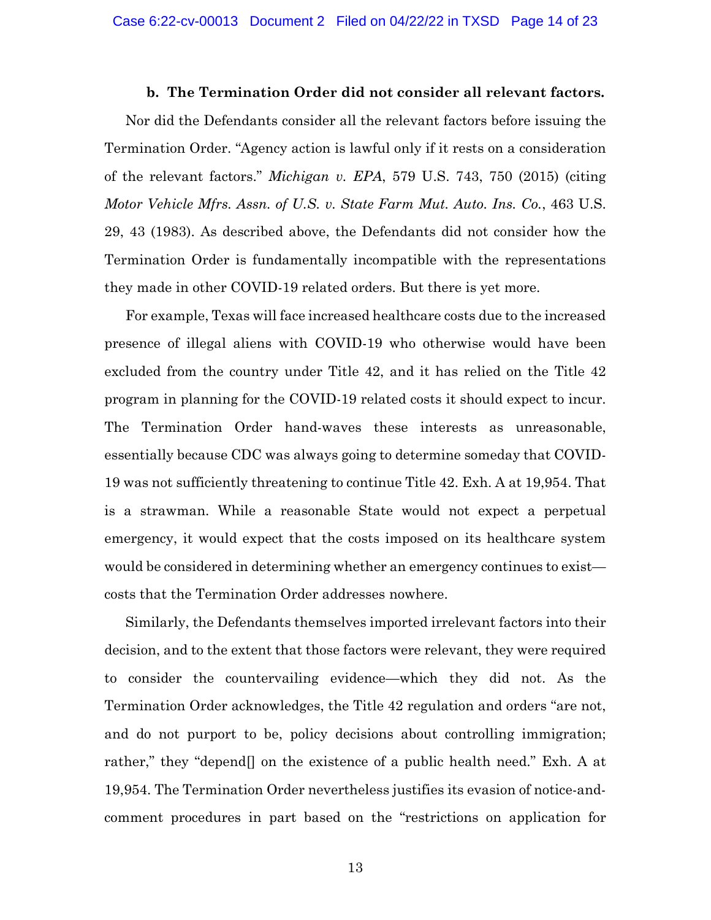#### **b. The Termination Order did not consider all relevant factors.**

<span id="page-13-0"></span>Nor did the Defendants consider all the relevant factors before issuing the Termination Order. "Agency action is lawful only if it rests on a consideration of the relevant factors." *Michigan v. EPA*, 579 U.S. 743, 750 (2015) (citing *Motor Vehicle Mfrs. Assn. of U.S. v. State Farm Mut. Auto. Ins. Co.*, 463 U.S. 29, 43 (1983). As described above, the Defendants did not consider how the Termination Order is fundamentally incompatible with the representations they made in other COVID-19 related orders. But there is yet more.

For example, Texas will face increased healthcare costs due to the increased presence of illegal aliens with COVID-19 who otherwise would have been excluded from the country under Title 42, and it has relied on the Title 42 program in planning for the COVID-19 related costs it should expect to incur. The Termination Order hand-waves these interests as unreasonable, essentially because CDC was always going to determine someday that COVID-19 was not sufficiently threatening to continue Title 42. Exh. A at 19,954. That is a strawman. While a reasonable State would not expect a perpetual emergency, it would expect that the costs imposed on its healthcare system would be considered in determining whether an emergency continues to exist costs that the Termination Order addresses nowhere.

Similarly, the Defendants themselves imported irrelevant factors into their decision, and to the extent that those factors were relevant, they were required to consider the countervailing evidence—which they did not. As the Termination Order acknowledges, the Title 42 regulation and orders "are not, and do not purport to be, policy decisions about controlling immigration; rather," they "depend[] on the existence of a public health need." Exh. A at 19,954. The Termination Order nevertheless justifies its evasion of notice-andcomment procedures in part based on the "restrictions on application for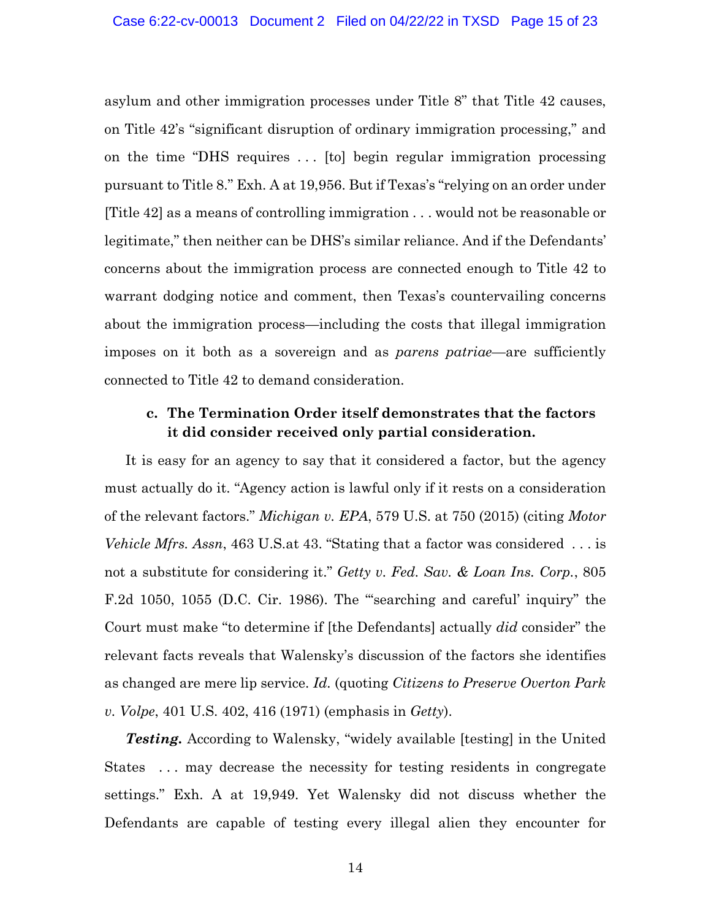asylum and other immigration processes under Title 8" that Title 42 causes, on Title 42's "significant disruption of ordinary immigration processing," and on the time "DHS requires ... [to] begin regular immigration processing pursuant to Title 8." Exh. A at 19,956. But if Texas's "relying on an order under [Title 42] as a means of controlling immigration . . . would not be reasonable or legitimate," then neither can be DHS's similar reliance. And if the Defendants' concerns about the immigration process are connected enough to Title 42 to warrant dodging notice and comment, then Texas's countervailing concerns about the immigration process—including the costs that illegal immigration imposes on it both as a sovereign and as *parens patriae*—are sufficiently connected to Title 42 to demand consideration.

### <span id="page-14-0"></span>**c. The Termination Order itself demonstrates that the factors it did consider received only partial consideration.**

It is easy for an agency to say that it considered a factor, but the agency must actually do it. "Agency action is lawful only if it rests on a consideration of the relevant factors." *Michigan v. EPA*, 579 U.S. at 750 (2015) (citing *Motor Vehicle Mfrs. Assn*, 463 U.S.at 43. "Stating that a factor was considered . . . is not a substitute for considering it." *Getty v. Fed. Sav. & Loan Ins. Corp.*, 805 F.2d 1050, 1055 (D.C. Cir. 1986). The "searching and careful' inquiry" the Court must make "to determine if [the Defendants] actually *did* consider" the relevant facts reveals that Walensky's discussion of the factors she identifies as changed are mere lip service. *Id.* (quoting *Citizens to Preserve Overton Park v. Volpe*, 401 U.S. 402, 416 (1971) (emphasis in *Getty*).

**Testing.** According to Walensky, "widely available [testing] in the United States . . . may decrease the necessity for testing residents in congregate settings." Exh. A at 19,949. Yet Walensky did not discuss whether the Defendants are capable of testing every illegal alien they encounter for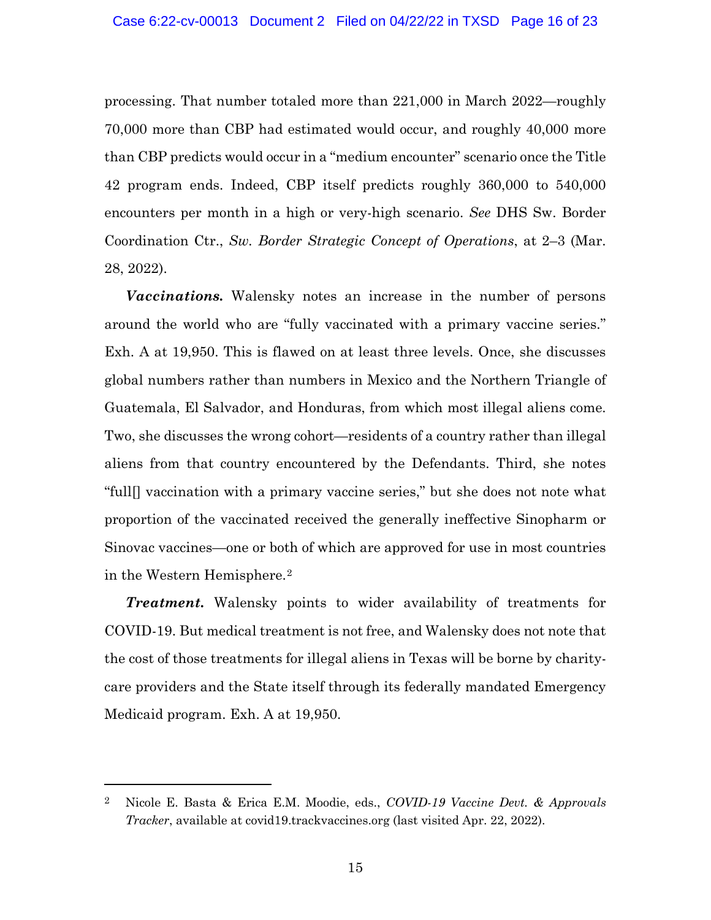processing. That number totaled more than 221,000 in March 2022—roughly 70,000 more than CBP had estimated would occur, and roughly 40,000 more than CBP predicts would occur in a "medium encounter" scenario once the Title 42 program ends. Indeed, CBP itself predicts roughly 360,000 to 540,000 encounters per month in a high or very-high scenario. *See* DHS Sw. Border Coordination Ctr., *Sw. Border Strategic Concept of Operations*, at 2–3 (Mar. 28, 2022).

*Vaccinations.* Walensky notes an increase in the number of persons around the world who are "fully vaccinated with a primary vaccine series." Exh. A at 19,950. This is flawed on at least three levels. Once, she discusses global numbers rather than numbers in Mexico and the Northern Triangle of Guatemala, El Salvador, and Honduras, from which most illegal aliens come. Two, she discusses the wrong cohort—residents of a country rather than illegal aliens from that country encountered by the Defendants. Third, she notes "full[] vaccination with a primary vaccine series," but she does not note what proportion of the vaccinated received the generally ineffective Sinopharm or Sinovac vaccines—one or both of which are approved for use in most countries in the Western Hemisphere.[2](#page-15-0)

*Treatment.* Walensky points to wider availability of treatments for COVID-19. But medical treatment is not free, and Walensky does not note that the cost of those treatments for illegal aliens in Texas will be borne by charitycare providers and the State itself through its federally mandated Emergency Medicaid program. Exh. A at 19,950.

<span id="page-15-0"></span><sup>2</sup> Nicole E. Basta & Erica E.M. Moodie, eds., *COVID-19 Vaccine Devt. & Approvals Tracker*, available at covid19.trackvaccines.org (last visited Apr. 22, 2022).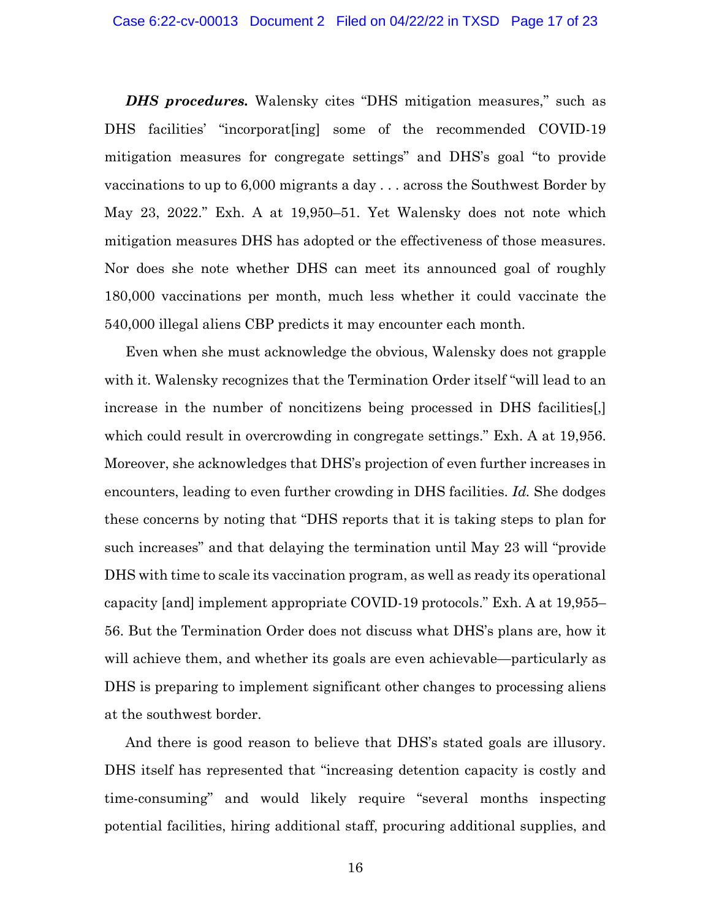*DHS procedures.* Walensky cites "DHS mitigation measures," such as DHS facilities' "incorporat[ing] some of the recommended COVID-19 mitigation measures for congregate settings" and DHS's goal "to provide vaccinations to up to 6,000 migrants a day . . . across the Southwest Border by May 23, 2022." Exh. A at 19,950–51. Yet Walensky does not note which mitigation measures DHS has adopted or the effectiveness of those measures. Nor does she note whether DHS can meet its announced goal of roughly 180,000 vaccinations per month, much less whether it could vaccinate the 540,000 illegal aliens CBP predicts it may encounter each month.

Even when she must acknowledge the obvious, Walensky does not grapple with it. Walensky recognizes that the Termination Order itself "will lead to an increase in the number of noncitizens being processed in DHS facilities[,] which could result in overcrowding in congregate settings." Exh. A at 19,956. Moreover, she acknowledges that DHS's projection of even further increases in encounters, leading to even further crowding in DHS facilities. *Id.* She dodges these concerns by noting that "DHS reports that it is taking steps to plan for such increases" and that delaying the termination until May 23 will "provide DHS with time to scale its vaccination program, as well as ready its operational capacity [and] implement appropriate COVID-19 protocols." Exh. A at 19,955– 56. But the Termination Order does not discuss what DHS's plans are, how it will achieve them, and whether its goals are even achievable—particularly as DHS is preparing to implement significant other changes to processing aliens at the southwest border.

And there is good reason to believe that DHS's stated goals are illusory. DHS itself has represented that "increasing detention capacity is costly and time-consuming" and would likely require "several months inspecting potential facilities, hiring additional staff, procuring additional supplies, and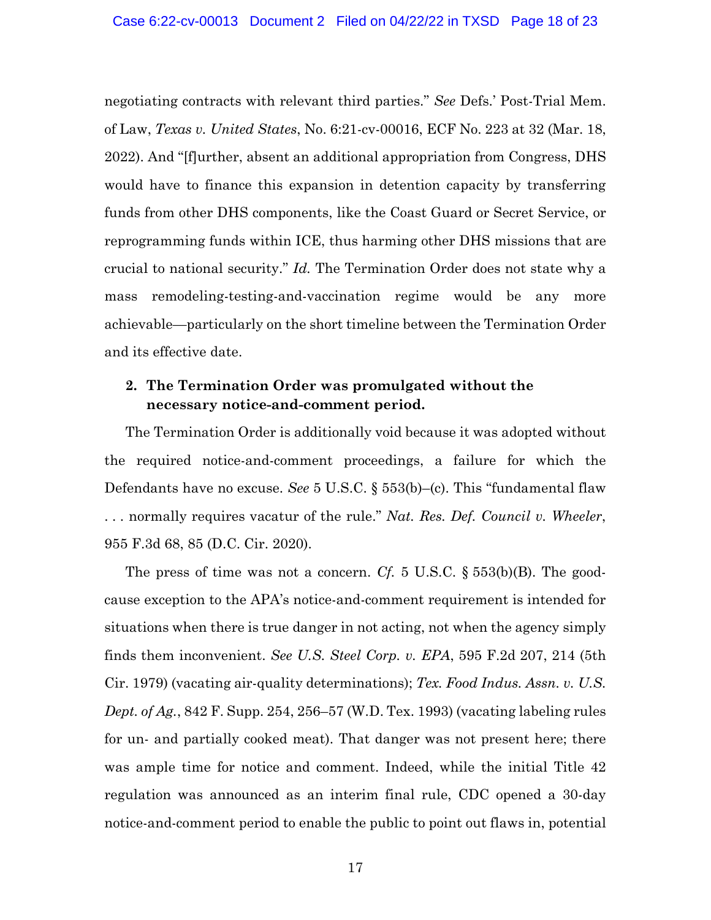negotiating contracts with relevant third parties." *See* Defs.' Post-Trial Mem. of Law, *Texas v. United States*, No. 6:21-cv-00016, ECF No. 223 at 32 (Mar. 18, 2022). And "[f]urther, absent an additional appropriation from Congress, DHS would have to finance this expansion in detention capacity by transferring funds from other DHS components, like the Coast Guard or Secret Service, or reprogramming funds within ICE, thus harming other DHS missions that are crucial to national security." *Id.* The Termination Order does not state why a mass remodeling-testing-and-vaccination regime would be any more achievable—particularly on the short timeline between the Termination Order and its effective date.

## <span id="page-17-0"></span>**2. The Termination Order was promulgated without the necessary notice-and-comment period.**

The Termination Order is additionally void because it was adopted without the required notice-and-comment proceedings, a failure for which the Defendants have no excuse. *See* 5 U.S.C. § 553(b)–(c). This "fundamental flaw . . . normally requires vacatur of the rule." *Nat. Res. Def. Council v. Wheeler*, 955 F.3d 68, 85 (D.C. Cir. 2020).

The press of time was not a concern. *Cf.* 5 U.S.C. § 553(b)(B). The goodcause exception to the APA's notice-and-comment requirement is intended for situations when there is true danger in not acting, not when the agency simply finds them inconvenient. *See U.S. Steel Corp. v. EPA*, 595 F.2d 207, 214 (5th Cir. 1979) (vacating air-quality determinations); *Tex. Food Indus. Assn. v. U.S. Dept. of Ag.*, 842 F. Supp. 254, 256–57 (W.D. Tex. 1993) (vacating labeling rules for un- and partially cooked meat). That danger was not present here; there was ample time for notice and comment. Indeed, while the initial Title 42 regulation was announced as an interim final rule, CDC opened a 30-day notice-and-comment period to enable the public to point out flaws in, potential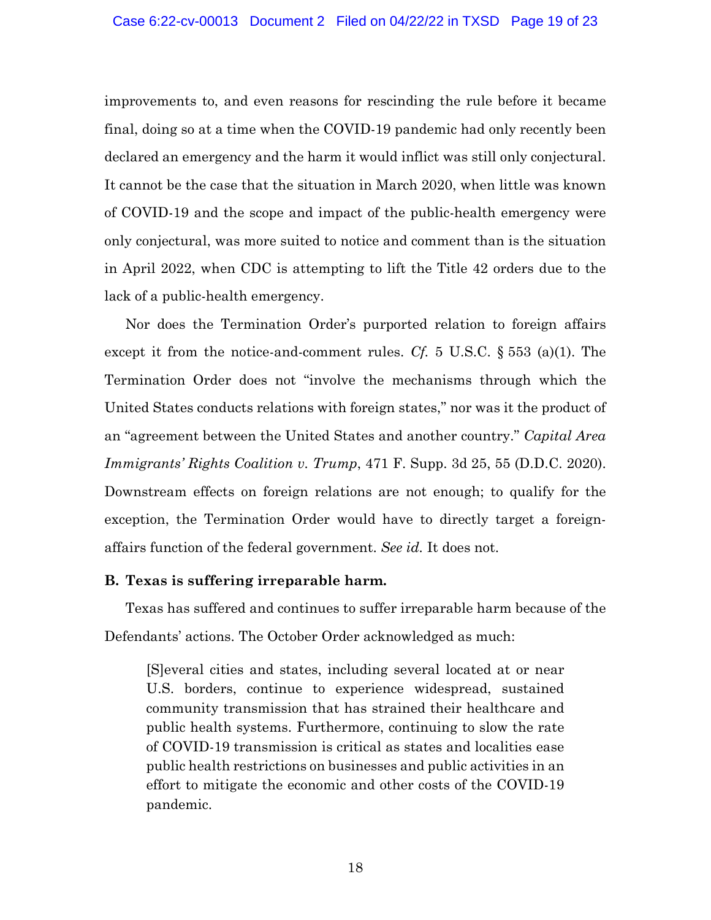improvements to, and even reasons for rescinding the rule before it became final, doing so at a time when the COVID-19 pandemic had only recently been declared an emergency and the harm it would inflict was still only conjectural. It cannot be the case that the situation in March 2020, when little was known of COVID-19 and the scope and impact of the public-health emergency were only conjectural, was more suited to notice and comment than is the situation in April 2022, when CDC is attempting to lift the Title 42 orders due to the lack of a public-health emergency.

Nor does the Termination Order's purported relation to foreign affairs except it from the notice-and-comment rules. *Cf.* 5 U.S.C. § 553 (a)(1). The Termination Order does not "involve the mechanisms through which the United States conducts relations with foreign states," nor was it the product of an "agreement between the United States and another country." *Capital Area Immigrants' Rights Coalition v. Trump*, 471 F. Supp. 3d 25, 55 (D.D.C. 2020). Downstream effects on foreign relations are not enough; to qualify for the exception, the Termination Order would have to directly target a foreignaffairs function of the federal government. *See id.* It does not.

### <span id="page-18-0"></span>**B. Texas is suffering irreparable harm.**

Texas has suffered and continues to suffer irreparable harm because of the Defendants' actions. The October Order acknowledged as much:

[S]everal cities and states, including several located at or near U.S. borders, continue to experience widespread, sustained community transmission that has strained their healthcare and public health systems. Furthermore, continuing to slow the rate of COVID-19 transmission is critical as states and localities ease public health restrictions on businesses and public activities in an effort to mitigate the economic and other costs of the COVID-19 pandemic.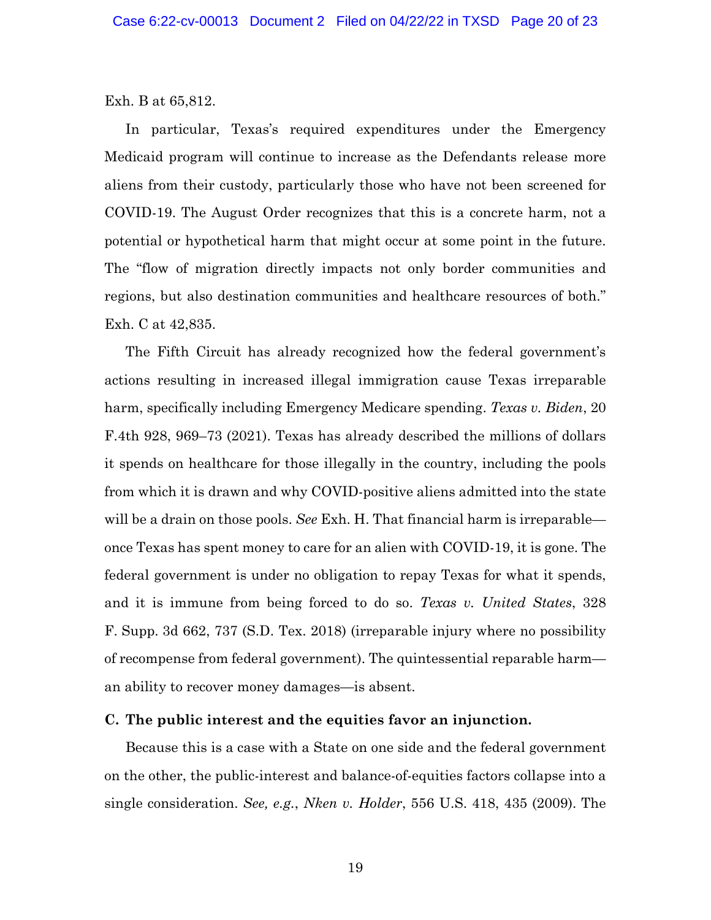Exh. B at 65,812.

In particular, Texas's required expenditures under the Emergency Medicaid program will continue to increase as the Defendants release more aliens from their custody, particularly those who have not been screened for COVID-19. The August Order recognizes that this is a concrete harm, not a potential or hypothetical harm that might occur at some point in the future. The "flow of migration directly impacts not only border communities and regions, but also destination communities and healthcare resources of both." Exh. C at 42,835.

The Fifth Circuit has already recognized how the federal government's actions resulting in increased illegal immigration cause Texas irreparable harm, specifically including Emergency Medicare spending. *Texas v. Biden*, 20 F.4th 928, 969–73 (2021). Texas has already described the millions of dollars it spends on healthcare for those illegally in the country, including the pools from which it is drawn and why COVID-positive aliens admitted into the state will be a drain on those pools. *See* Exh. H. That financial harm is irreparable once Texas has spent money to care for an alien with COVID-19, it is gone. The federal government is under no obligation to repay Texas for what it spends, and it is immune from being forced to do so. *Texas v. United States*, 328 F. Supp. 3d 662, 737 (S.D. Tex. 2018) (irreparable injury where no possibility of recompense from federal government). The quintessential reparable harm an ability to recover money damages—is absent.

#### <span id="page-19-0"></span>**C. The public interest and the equities favor an injunction.**

Because this is a case with a State on one side and the federal government on the other, the public-interest and balance-of-equities factors collapse into a single consideration. *See, e.g.*, *Nken v. Holder*, 556 U.S. 418, 435 (2009). The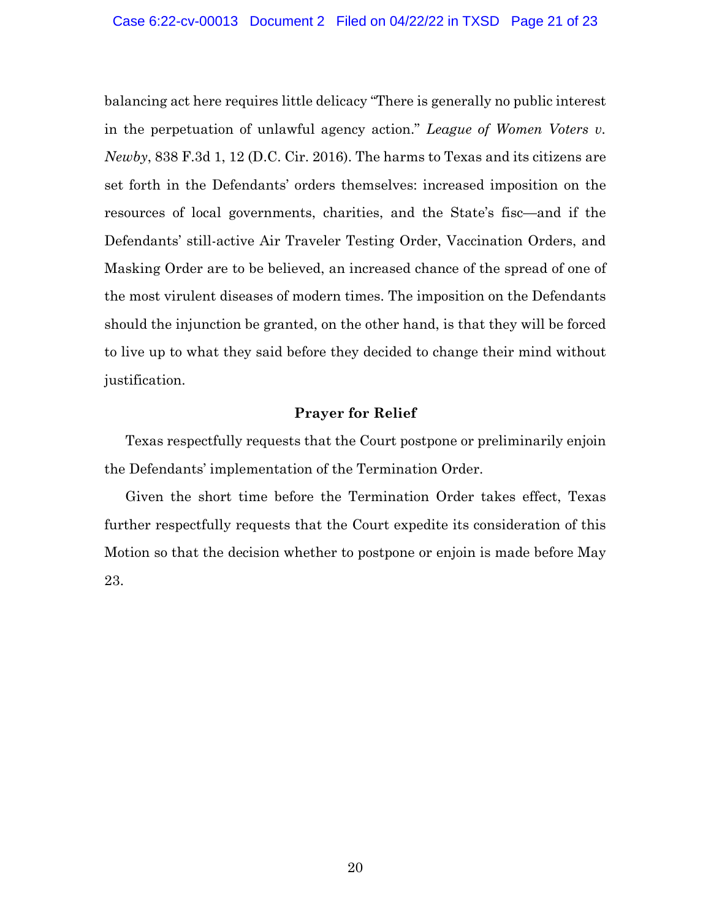balancing act here requires little delicacy "There is generally no public interest in the perpetuation of unlawful agency action." *League of Women Voters v. Newby*, 838 F.3d 1, 12 (D.C. Cir. 2016). The harms to Texas and its citizens are set forth in the Defendants' orders themselves: increased imposition on the resources of local governments, charities, and the State's fisc—and if the Defendants' still-active Air Traveler Testing Order, Vaccination Orders, and Masking Order are to be believed, an increased chance of the spread of one of the most virulent diseases of modern times. The imposition on the Defendants should the injunction be granted, on the other hand, is that they will be forced to live up to what they said before they decided to change their mind without justification.

#### **Prayer for Relief**

<span id="page-20-0"></span>Texas respectfully requests that the Court postpone or preliminarily enjoin the Defendants' implementation of the Termination Order.

Given the short time before the Termination Order takes effect, Texas further respectfully requests that the Court expedite its consideration of this Motion so that the decision whether to postpone or enjoin is made before May 23.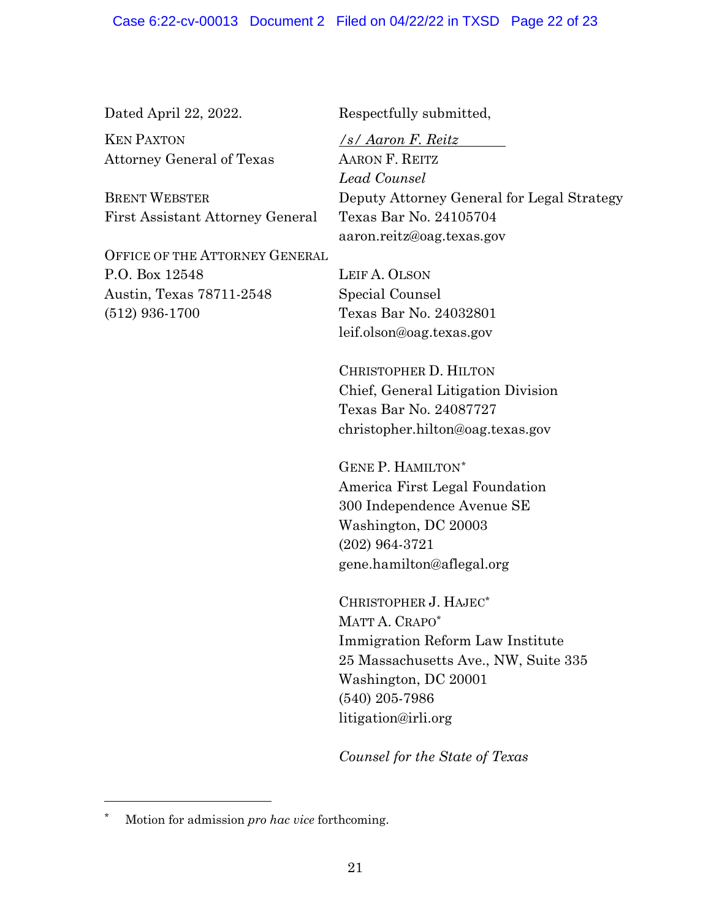KEN PAXTON Attorney General of Texas

BRENT WEBSTER First Assistant Attorney General

OFFICE OF THE ATTORNEY GENERAL P.O. Box 12548 Austin, Texas 78711-2548 (512) 936-1700

Dated April 22, 2022. Respectfully submitted,

*/s/ Aaron F. Reitz* AARON F. REITZ *Lead Counsel* Deputy Attorney General for Legal Strategy Texas Bar No. 24105704 aaron.reitz@oag.texas.gov

LEIF A. OLSON Special Counsel Texas Bar No. 24032801 leif.olson@oag.texas.gov

CHRISTOPHER D. HILTON Chief, General Litigation Division Texas Bar No. 24087727 christopher.hilton@oag.texas.gov

GENE P. HAMILTON[\\*](#page-21-0) America First Legal Foundation 300 Independence Avenue SE Washington, DC 20003 (202) 964-3721 gene.hamilton@aflegal.org

CHRISTOPHER J. HAJEC\* MATT A. CRAPO\* Immigration Reform Law Institute 25 Massachusetts Ave., NW, Suite 335 Washington, DC 20001 (540) 205-7986 litigation@irli.org

*Counsel for the State of Texas*

<span id="page-21-0"></span>Motion for admission *pro hac vice* forthcoming.